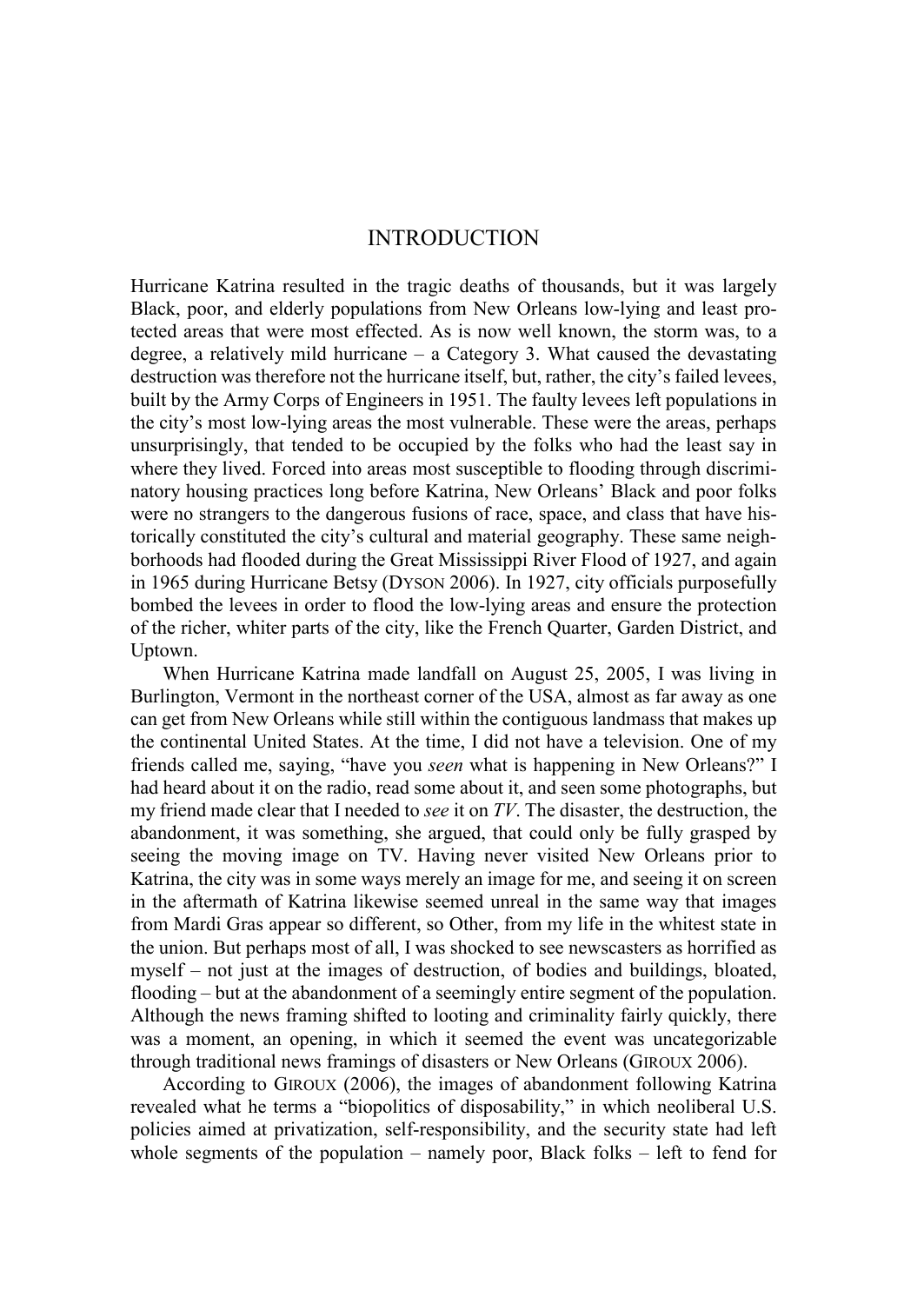# INTRODUCTION

Hurricane Katrina resulted in the tragic deaths of thousands, but it was largely Black, poor, and elderly populations from New Orleans low-lying and least protected areas that were most effected. As is now well known, the storm was, to a degree, a relatively mild hurricane  $-$  a Category 3. What caused the devastating destruction was therefore not the hurricane itself, but, rather, the city's failed levees, built by the Army Corps of Engineers in 1951. The faulty levees left populations in the city's most low-lying areas the most vulnerable. These were the areas, perhaps unsurprisingly, that tended to be occupied by the folks who had the least say in where they lived. Forced into areas most susceptible to flooding through discriminatory housing practices long before Katrina, New Orleans' Black and poor folks were no strangers to the dangerous fusions of race, space, and class that have historically constituted the city's cultural and material geography. These same neighborhoods had flooded during the Great Mississippi River Flood of 1927, and again in 1965 during Hurricane Betsy (DYSON 2006). In 1927, city officials purposefully bombed the levees in order to flood the low-lying areas and ensure the protection of the richer, whiter parts of the city, like the French Quarter, Garden District, and Uptown.

When Hurricane Katrina made landfall on August 25, 2005, I was living in Burlington, Vermont in the northeast corner of the USA, almost as far away as one can get from New Orleans while still within the contiguous landmass that makes up the continental United States. At the time, I did not have a television. One of my friends called me, saying, "have you *seen* what is happening in New Orleans?" I had heard about it on the radio, read some about it, and seen some photographs, but my friend made clear that I needed to *see* it on *TV*. The disaster, the destruction, the abandonment, it was something, she argued, that could only be fully grasped by seeing the moving image on TV. Having never visited New Orleans prior to Katrina, the city was in some ways merely an image for me, and seeing it on screen in the aftermath of Katrina likewise seemed unreal in the same way that images from Mardi Gras appear so different, so Other, from my life in the whitest state in the union. But perhaps most of all, I was shocked to see newscasters as horrified as myself – not just at the images of destruction, of bodies and buildings, bloated, flooding – but at the abandonment of a seemingly entire segment of the population. Although the news framing shifted to looting and criminality fairly quickly, there was a moment, an opening, in which it seemed the event was uncategorizable through traditional news framings of disasters or New Orleans (GIROUX 2006).

According to GIROUX (2006), the images of abandonment following Katrina revealed what he terms a "biopolitics of disposability," in which neoliberal U.S. policies aimed at privatization, self-responsibility, and the security state had left whole segments of the population – namely poor, Black folks – left to fend for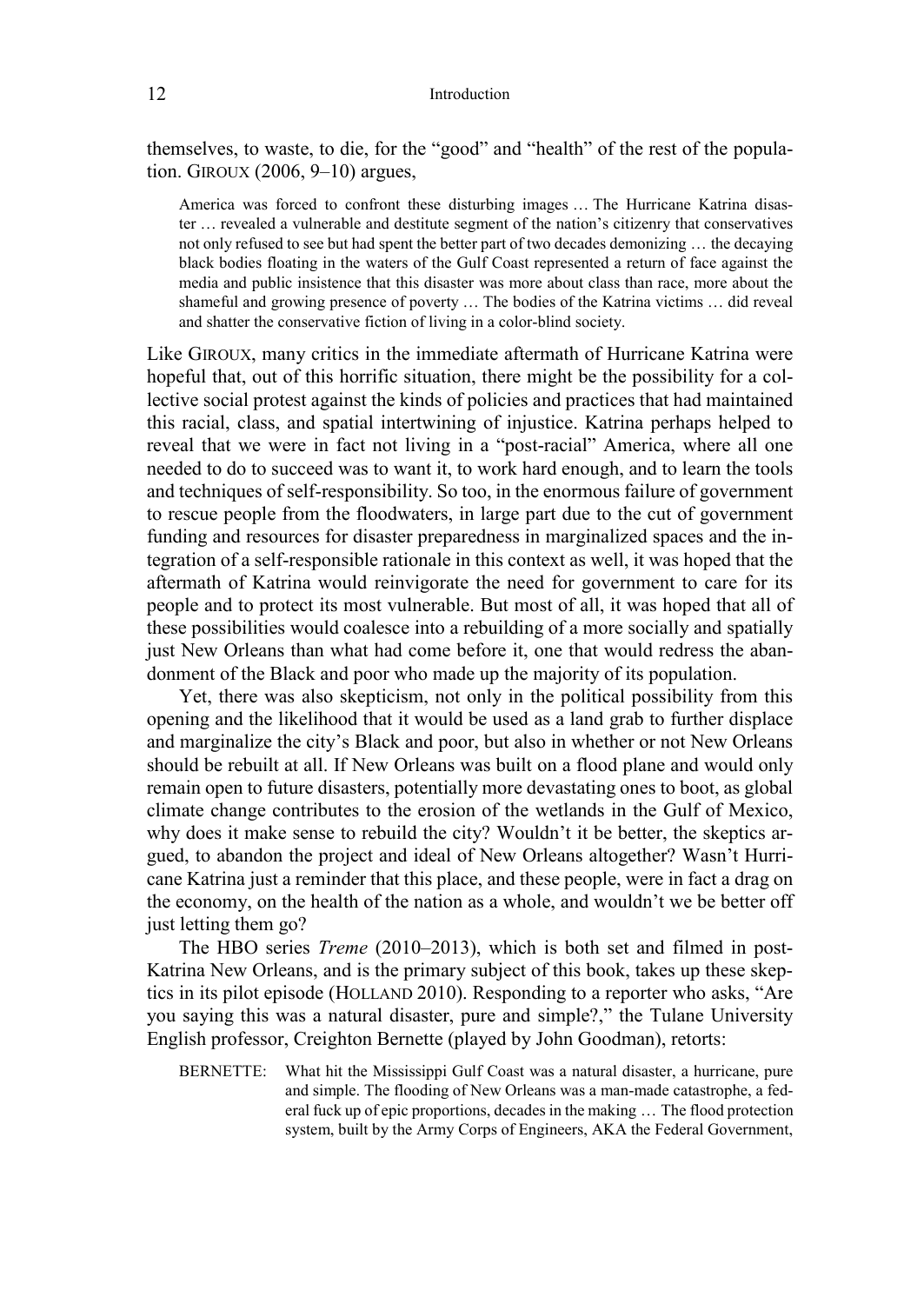themselves, to waste, to die, for the "good" and "health" of the rest of the population. GIROUX (2006, 9–10) argues,

America was forced to confront these disturbing images … The Hurricane Katrina disaster … revealed a vulnerable and destitute segment of the nation's citizenry that conservatives not only refused to see but had spent the better part of two decades demonizing … the decaying black bodies floating in the waters of the Gulf Coast represented a return of face against the media and public insistence that this disaster was more about class than race, more about the shameful and growing presence of poverty … The bodies of the Katrina victims … did reveal and shatter the conservative fiction of living in a color-blind society.

Like GIROUX, many critics in the immediate aftermath of Hurricane Katrina were hopeful that, out of this horrific situation, there might be the possibility for a collective social protest against the kinds of policies and practices that had maintained this racial, class, and spatial intertwining of injustice. Katrina perhaps helped to reveal that we were in fact not living in a "post-racial" America, where all one needed to do to succeed was to want it, to work hard enough, and to learn the tools and techniques of self-responsibility. So too, in the enormous failure of government to rescue people from the floodwaters, in large part due to the cut of government funding and resources for disaster preparedness in marginalized spaces and the integration of a self-responsible rationale in this context as well, it was hoped that the aftermath of Katrina would reinvigorate the need for government to care for its people and to protect its most vulnerable. But most of all, it was hoped that all of these possibilities would coalesce into a rebuilding of a more socially and spatially just New Orleans than what had come before it, one that would redress the abandonment of the Black and poor who made up the majority of its population.

Yet, there was also skepticism, not only in the political possibility from this opening and the likelihood that it would be used as a land grab to further displace and marginalize the city's Black and poor, but also in whether or not New Orleans should be rebuilt at all. If New Orleans was built on a flood plane and would only remain open to future disasters, potentially more devastating ones to boot, as global climate change contributes to the erosion of the wetlands in the Gulf of Mexico, why does it make sense to rebuild the city? Wouldn't it be better, the skeptics argued, to abandon the project and ideal of New Orleans altogether? Wasn't Hurricane Katrina just a reminder that this place, and these people, were in fact a drag on the economy, on the health of the nation as a whole, and wouldn't we be better off just letting them go?

The HBO series *Treme* (2010–2013), which is both set and filmed in post-Katrina New Orleans, and is the primary subject of this book, takes up these skeptics in its pilot episode (HOLLAND 2010). Responding to a reporter who asks, "Are you saying this was a natural disaster, pure and simple?," the Tulane University English professor, Creighton Bernette (played by John Goodman), retorts:

BERNETTE: What hit the Mississippi Gulf Coast was a natural disaster, a hurricane, pure and simple. The flooding of New Orleans was a man-made catastrophe, a federal fuck up of epic proportions, decades in the making … The flood protection system, built by the Army Corps of Engineers, AKA the Federal Government,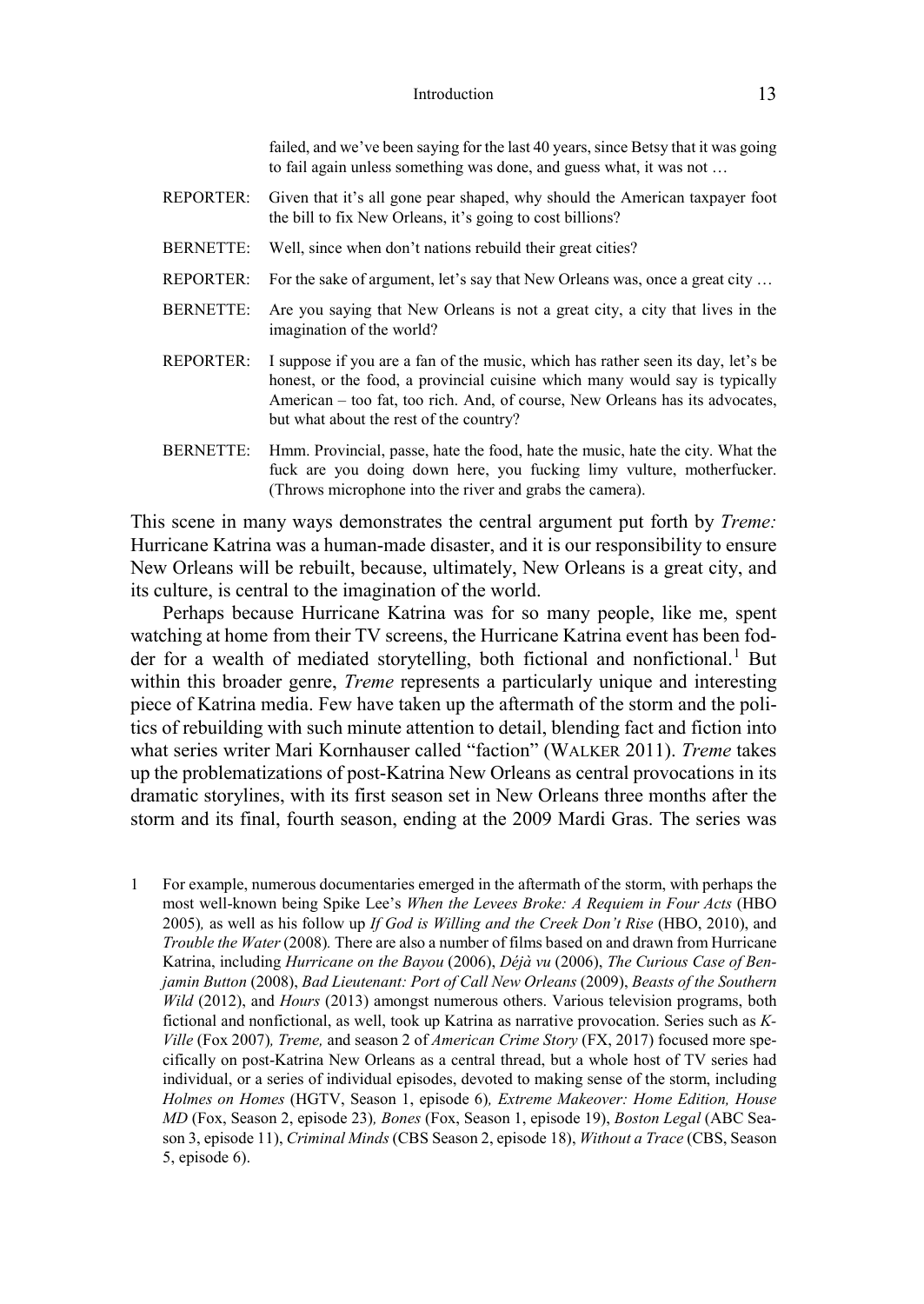|                  | failed, and we've been saying for the last 40 years, since Betsy that it was going<br>to fail again unless something was done, and guess what, it was not                                                                                                                                  |
|------------------|--------------------------------------------------------------------------------------------------------------------------------------------------------------------------------------------------------------------------------------------------------------------------------------------|
| <b>REPORTER:</b> | Given that it's all gone pear shaped, why should the American taxpayer foot<br>the bill to fix New Orleans, it's going to cost billions?                                                                                                                                                   |
| <b>BERNETTE:</b> | Well, since when don't nations rebuild their great cities?                                                                                                                                                                                                                                 |
| <b>REPORTER:</b> | For the sake of argument, let's say that New Orleans was, once a great city                                                                                                                                                                                                                |
| <b>BERNETTE:</b> | Are you saying that New Orleans is not a great city, a city that lives in the<br>imagination of the world?                                                                                                                                                                                 |
| <b>REPORTER:</b> | I suppose if you are a fan of the music, which has rather seen its day, let's be<br>honest, or the food, a provincial cuisine which many would say is typically<br>American – too fat, too rich. And, of course, New Orleans has its advocates,<br>but what about the rest of the country? |
| <b>BERNETTE:</b> | Hmm. Provincial, passe, hate the food, hate the music, hate the city. What the<br>fuck are you doing down here, you fucking limy vulture, motherfucker.<br>(Throws microphone into the river and grabs the camera).                                                                        |

This scene in many ways demonstrates the central argument put forth by *Treme:*  Hurricane Katrina was a human-made disaster, and it is our responsibility to ensure New Orleans will be rebuilt, because, ultimately, New Orleans is a great city, and its culture, is central to the imagination of the world.

Perhaps because Hurricane Katrina was for so many people, like me, spent watching at home from their TV screens, the Hurricane Katrina event has been fodder for a wealth of mediated storytelling, both fictional and nonfictional.<sup>1</sup> But within this broader genre, *Treme* represents a particularly unique and interesting piece of Katrina media. Few have taken up the aftermath of the storm and the politics of rebuilding with such minute attention to detail, blending fact and fiction into what series writer Mari Kornhauser called "faction" (WALKER 2011). *Treme* takes up the problematizations of post-Katrina New Orleans as central provocations in its dramatic storylines, with its first season set in New Orleans three months after the storm and its final, fourth season, ending at the 2009 Mardi Gras. The series was

1 For example, numerous documentaries emerged in the aftermath of the storm, with perhaps the most well-known being Spike Lee's *When the Levees Broke: A Requiem in Four Acts* (HBO 2005)*,* as well as his follow up *If God is Willing and the Creek Don't Rise* (HBO, 2010), and *Trouble the Water* (2008)*.* There are also a number of films based on and drawn from Hurricane Katrina, including *Hurricane on the Bayou* (2006), *Déjà vu* (2006), *The Curious Case of Benjamin Button* (2008), *Bad Lieutenant: Port of Call New Orleans* (2009), *Beasts of the Southern Wild* (2012), and *Hours* (2013) amongst numerous others. Various television programs, both fictional and nonfictional, as well, took up Katrina as narrative provocation. Series such as *K-Ville* (Fox 2007)*, Treme,* and season 2 of *American Crime Story* (FX, 2017) focused more specifically on post-Katrina New Orleans as a central thread, but a whole host of TV series had individual, or a series of individual episodes, devoted to making sense of the storm, including *Holmes on Homes* (HGTV, Season 1, episode 6)*, Extreme Makeover: Home Edition, House MD* (Fox, Season 2, episode 23)*, Bones* (Fox, Season 1, episode 19), *Boston Legal* (ABC Season 3, episode 11), *Criminal Minds* (CBS Season 2, episode 18), *Without a Trace* (CBS, Season 5, episode 6).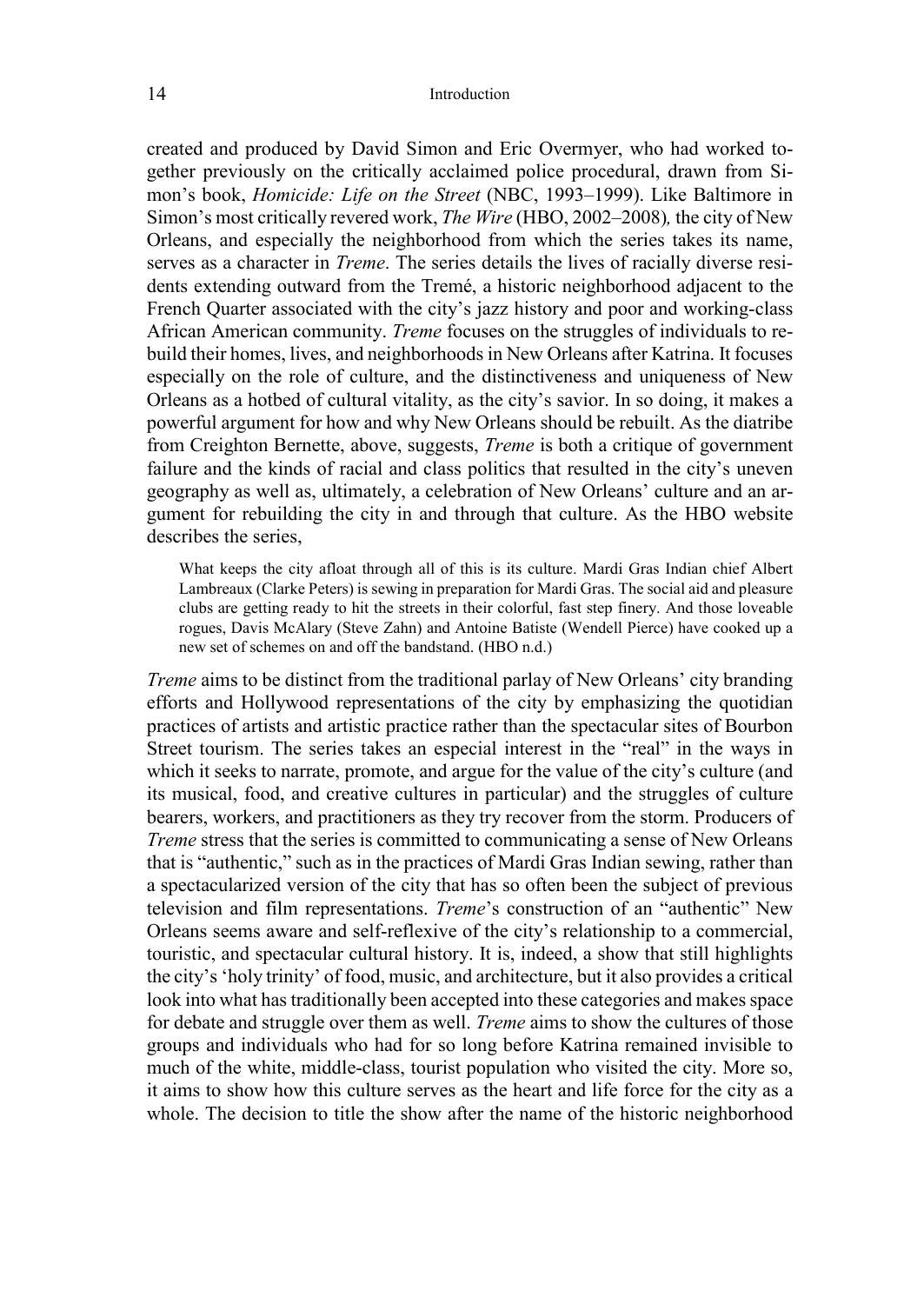created and produced by David Simon and Eric Overmyer, who had worked together previously on the critically acclaimed police procedural, drawn from Simon's book, *Homicide: Life on the Street* (NBC, 1993–1999). Like Baltimore in Simon's most critically revered work, *The Wire* (HBO, 2002–2008)*,* the city of New Orleans, and especially the neighborhood from which the series takes its name, serves as a character in *Treme*. The series details the lives of racially diverse residents extending outward from the Tremé, a historic neighborhood adjacent to the French Quarter associated with the city's jazz history and poor and working-class African American community. *Treme* focuses on the struggles of individuals to rebuild their homes, lives, and neighborhoods in New Orleans after Katrina. It focuses especially on the role of culture, and the distinctiveness and uniqueness of New Orleans as a hotbed of cultural vitality, as the city's savior. In so doing, it makes a powerful argument for how and why New Orleans should be rebuilt. As the diatribe from Creighton Bernette, above, suggests, *Treme* is both a critique of government failure and the kinds of racial and class politics that resulted in the city's uneven geography as well as, ultimately, a celebration of New Orleans' culture and an argument for rebuilding the city in and through that culture. As the HBO website describes the series,

What keeps the city afloat through all of this is its culture. Mardi Gras Indian chief Albert Lambreaux (Clarke Peters) is sewing in preparation for Mardi Gras. The social aid and pleasure clubs are getting ready to hit the streets in their colorful, fast step finery. And those loveable rogues, Davis McAlary (Steve Zahn) and Antoine Batiste (Wendell Pierce) have cooked up a new set of schemes on and off the bandstand. (HBO n.d.)

*Treme* aims to be distinct from the traditional parlay of New Orleans' city branding efforts and Hollywood representations of the city by emphasizing the quotidian practices of artists and artistic practice rather than the spectacular sites of Bourbon Street tourism. The series takes an especial interest in the "real" in the ways in which it seeks to narrate, promote, and argue for the value of the city's culture (and its musical, food, and creative cultures in particular) and the struggles of culture bearers, workers, and practitioners as they try recover from the storm. Producers of *Treme* stress that the series is committed to communicating a sense of New Orleans that is "authentic," such as in the practices of Mardi Gras Indian sewing, rather than a spectacularized version of the city that has so often been the subject of previous television and film representations. *Treme*'s construction of an "authentic" New Orleans seems aware and self-reflexive of the city's relationship to a commercial, touristic, and spectacular cultural history. It is, indeed, a show that still highlights the city's 'holy trinity' of food, music, and architecture, but it also provides a critical look into what has traditionally been accepted into these categories and makes space for debate and struggle over them as well. *Treme* aims to show the cultures of those groups and individuals who had for so long before Katrina remained invisible to much of the white, middle-class, tourist population who visited the city. More so, it aims to show how this culture serves as the heart and life force for the city as a whole. The decision to title the show after the name of the historic neighborhood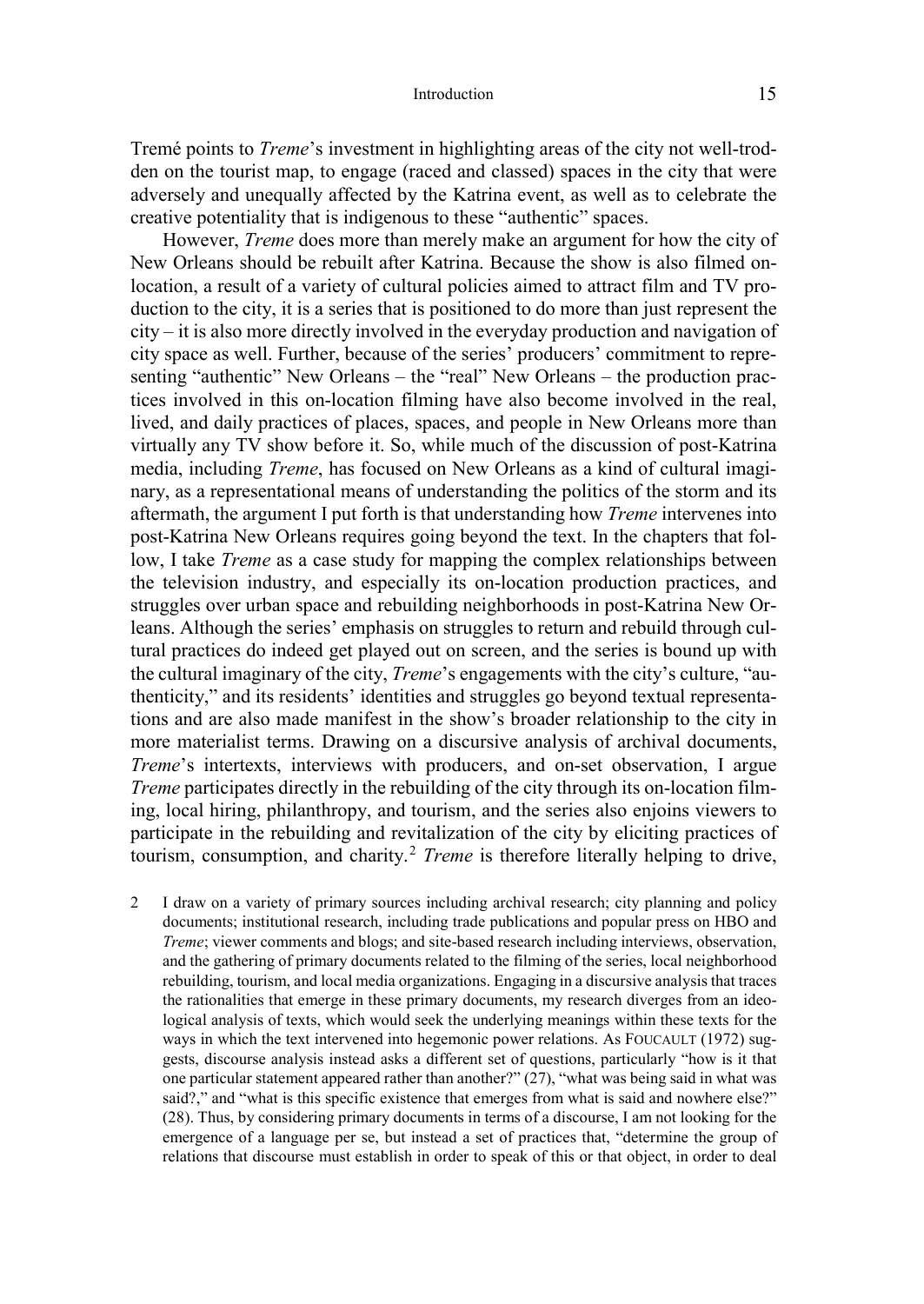Tremé points to *Treme*'s investment in highlighting areas of the city not well-trodden on the tourist map, to engage (raced and classed) spaces in the city that were adversely and unequally affected by the Katrina event, as well as to celebrate the creative potentiality that is indigenous to these "authentic" spaces.

However, *Treme* does more than merely make an argument for how the city of New Orleans should be rebuilt after Katrina. Because the show is also filmed onlocation, a result of a variety of cultural policies aimed to attract film and TV production to the city, it is a series that is positioned to do more than just represent the city – it is also more directly involved in the everyday production and navigation of city space as well. Further, because of the series' producers' commitment to representing "authentic" New Orleans – the "real" New Orleans – the production practices involved in this on-location filming have also become involved in the real, lived, and daily practices of places, spaces, and people in New Orleans more than virtually any TV show before it. So, while much of the discussion of post-Katrina media, including *Treme*, has focused on New Orleans as a kind of cultural imaginary, as a representational means of understanding the politics of the storm and its aftermath, the argument I put forth is that understanding how *Treme* intervenes into post-Katrina New Orleans requires going beyond the text. In the chapters that follow, I take *Treme* as a case study for mapping the complex relationships between the television industry, and especially its on-location production practices, and struggles over urban space and rebuilding neighborhoods in post-Katrina New Orleans. Although the series' emphasis on struggles to return and rebuild through cultural practices do indeed get played out on screen, and the series is bound up with the cultural imaginary of the city, *Treme*'s engagements with the city's culture, "authenticity," and its residents' identities and struggles go beyond textual representations and are also made manifest in the show's broader relationship to the city in more materialist terms. Drawing on a discursive analysis of archival documents, *Treme*'s intertexts, interviews with producers, and on-set observation, I argue *Treme* participates directly in the rebuilding of the city through its on-location filming, local hiring, philanthropy, and tourism, and the series also enjoins viewers to participate in the rebuilding and revitalization of the city by eliciting practices of tourism, consumption, and charity.<sup>2</sup> *Treme* is therefore literally helping to drive,

2 I draw on a variety of primary sources including archival research; city planning and policy documents; institutional research, including trade publications and popular press on HBO and *Treme*; viewer comments and blogs; and site-based research including interviews, observation, and the gathering of primary documents related to the filming of the series, local neighborhood rebuilding, tourism, and local media organizations. Engaging in a discursive analysis that traces the rationalities that emerge in these primary documents, my research diverges from an ideological analysis of texts, which would seek the underlying meanings within these texts for the ways in which the text intervened into hegemonic power relations. As FOUCAULT (1972) suggests, discourse analysis instead asks a different set of questions, particularly "how is it that one particular statement appeared rather than another?" (27), "what was being said in what was said?," and "what is this specific existence that emerges from what is said and nowhere else?" (28). Thus, by considering primary documents in terms of a discourse, I am not looking for the emergence of a language per se, but instead a set of practices that, "determine the group of relations that discourse must establish in order to speak of this or that object, in order to deal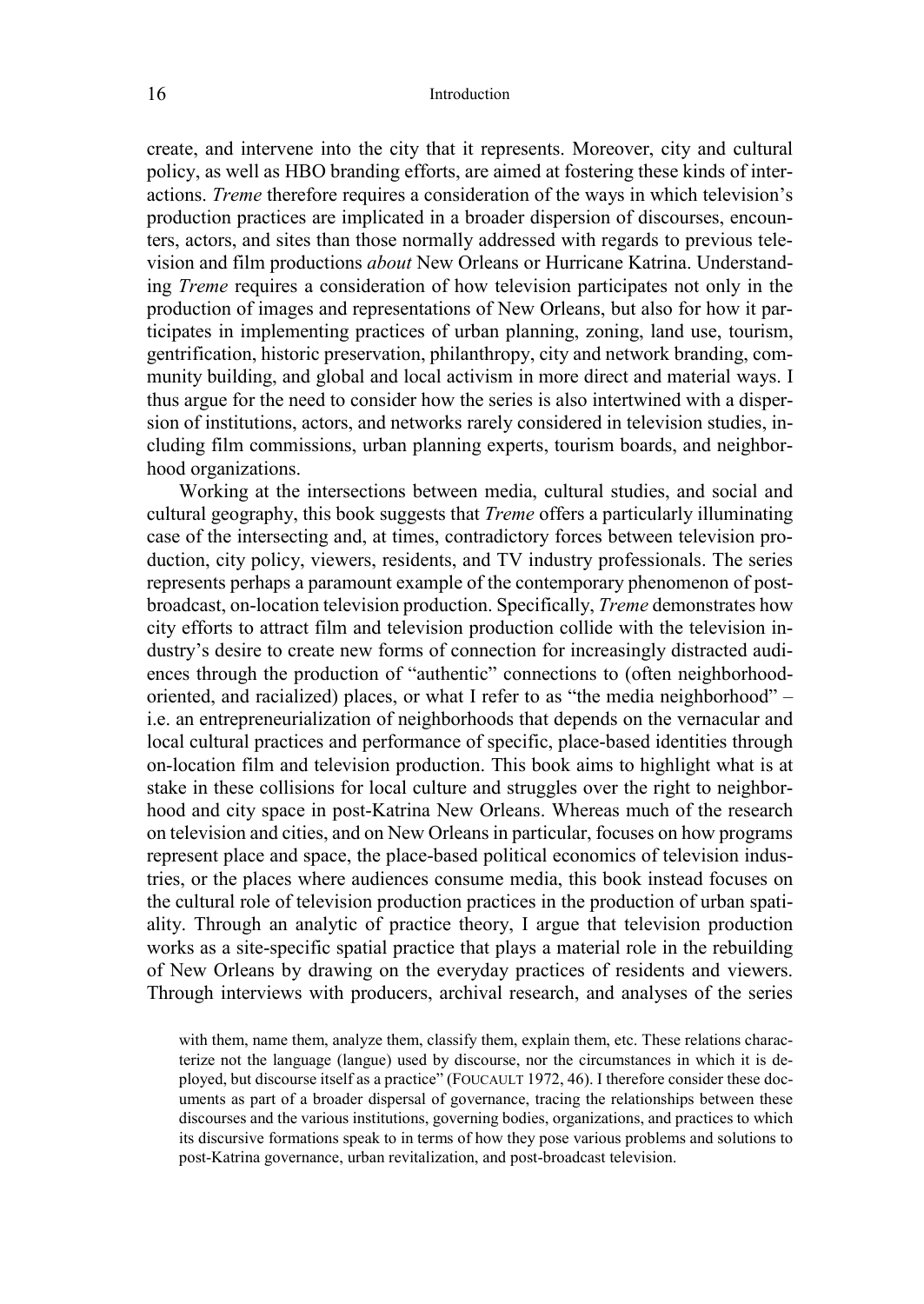create, and intervene into the city that it represents. Moreover, city and cultural policy, as well as HBO branding efforts, are aimed at fostering these kinds of interactions. *Treme* therefore requires a consideration of the ways in which television's production practices are implicated in a broader dispersion of discourses, encounters, actors, and sites than those normally addressed with regards to previous television and film productions *about* New Orleans or Hurricane Katrina. Understanding *Treme* requires a consideration of how television participates not only in the production of images and representations of New Orleans, but also for how it participates in implementing practices of urban planning, zoning, land use, tourism, gentrification, historic preservation, philanthropy, city and network branding, community building, and global and local activism in more direct and material ways. I thus argue for the need to consider how the series is also intertwined with a dispersion of institutions, actors, and networks rarely considered in television studies, including film commissions, urban planning experts, tourism boards, and neighborhood organizations.

Working at the intersections between media, cultural studies, and social and cultural geography, this book suggests that *Treme* offers a particularly illuminating case of the intersecting and, at times, contradictory forces between television production, city policy, viewers, residents, and TV industry professionals. The series represents perhaps a paramount example of the contemporary phenomenon of postbroadcast, on-location television production. Specifically, *Treme* demonstrates how city efforts to attract film and television production collide with the television industry's desire to create new forms of connection for increasingly distracted audiences through the production of "authentic" connections to (often neighborhoodoriented, and racialized) places, or what I refer to as "the media neighborhood" – i.e. an entrepreneurialization of neighborhoods that depends on the vernacular and local cultural practices and performance of specific, place-based identities through on-location film and television production. This book aims to highlight what is at stake in these collisions for local culture and struggles over the right to neighborhood and city space in post-Katrina New Orleans. Whereas much of the research on television and cities, and on New Orleans in particular, focuses on how programs represent place and space, the place-based political economics of television industries, or the places where audiences consume media, this book instead focuses on the cultural role of television production practices in the production of urban spatiality. Through an analytic of practice theory, I argue that television production works as a site-specific spatial practice that plays a material role in the rebuilding of New Orleans by drawing on the everyday practices of residents and viewers. Through interviews with producers, archival research, and analyses of the series

with them, name them, analyze them, classify them, explain them, etc. These relations characterize not the language (langue) used by discourse, nor the circumstances in which it is deployed, but discourse itself as a practice" (FOUCAULT 1972, 46). I therefore consider these documents as part of a broader dispersal of governance, tracing the relationships between these discourses and the various institutions, governing bodies, organizations, and practices to which its discursive formations speak to in terms of how they pose various problems and solutions to post-Katrina governance, urban revitalization, and post-broadcast television.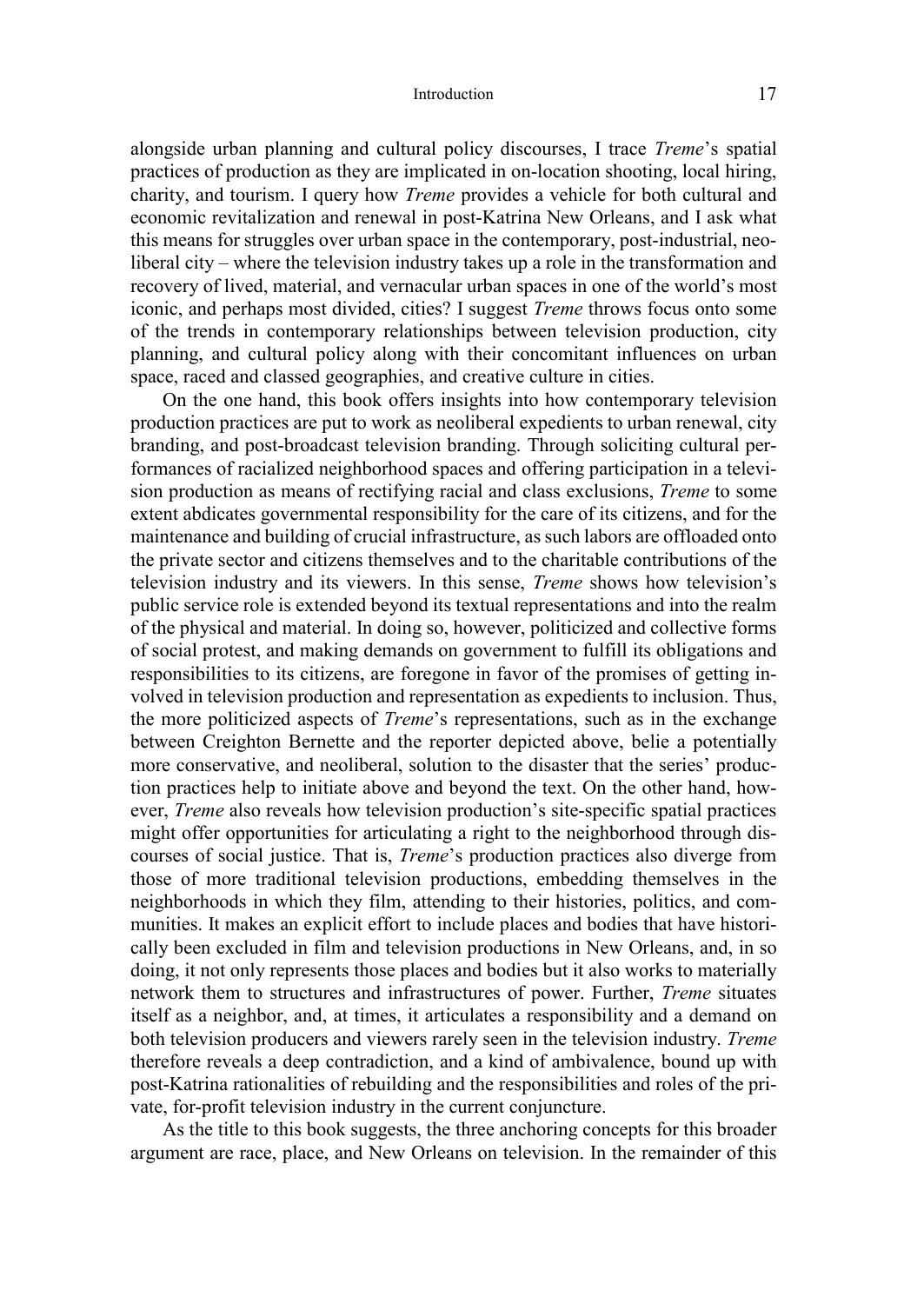alongside urban planning and cultural policy discourses, I trace *Treme*'s spatial practices of production as they are implicated in on-location shooting, local hiring, charity, and tourism. I query how *Treme* provides a vehicle for both cultural and economic revitalization and renewal in post-Katrina New Orleans, and I ask what this means for struggles over urban space in the contemporary, post-industrial, neoliberal city – where the television industry takes up a role in the transformation and recovery of lived, material, and vernacular urban spaces in one of the world's most iconic, and perhaps most divided, cities? I suggest *Treme* throws focus onto some of the trends in contemporary relationships between television production, city planning, and cultural policy along with their concomitant influences on urban space, raced and classed geographies, and creative culture in cities.

On the one hand, this book offers insights into how contemporary television production practices are put to work as neoliberal expedients to urban renewal, city branding, and post-broadcast television branding. Through soliciting cultural performances of racialized neighborhood spaces and offering participation in a television production as means of rectifying racial and class exclusions, *Treme* to some extent abdicates governmental responsibility for the care of its citizens, and for the maintenance and building of crucial infrastructure, as such labors are offloaded onto the private sector and citizens themselves and to the charitable contributions of the television industry and its viewers. In this sense, *Treme* shows how television's public service role is extended beyond its textual representations and into the realm of the physical and material. In doing so, however, politicized and collective forms of social protest, and making demands on government to fulfill its obligations and responsibilities to its citizens, are foregone in favor of the promises of getting involved in television production and representation as expedients to inclusion. Thus, the more politicized aspects of *Treme*'s representations, such as in the exchange between Creighton Bernette and the reporter depicted above, belie a potentially more conservative, and neoliberal, solution to the disaster that the series' production practices help to initiate above and beyond the text. On the other hand, however, *Treme* also reveals how television production's site-specific spatial practices might offer opportunities for articulating a right to the neighborhood through discourses of social justice. That is, *Treme*'s production practices also diverge from those of more traditional television productions, embedding themselves in the neighborhoods in which they film, attending to their histories, politics, and communities. It makes an explicit effort to include places and bodies that have historically been excluded in film and television productions in New Orleans, and, in so doing, it not only represents those places and bodies but it also works to materially network them to structures and infrastructures of power. Further, *Treme* situates itself as a neighbor, and, at times, it articulates a responsibility and a demand on both television producers and viewers rarely seen in the television industry. *Treme*  therefore reveals a deep contradiction, and a kind of ambivalence, bound up with post-Katrina rationalities of rebuilding and the responsibilities and roles of the private, for-profit television industry in the current conjuncture.

As the title to this book suggests, the three anchoring concepts for this broader argument are race, place, and New Orleans on television. In the remainder of this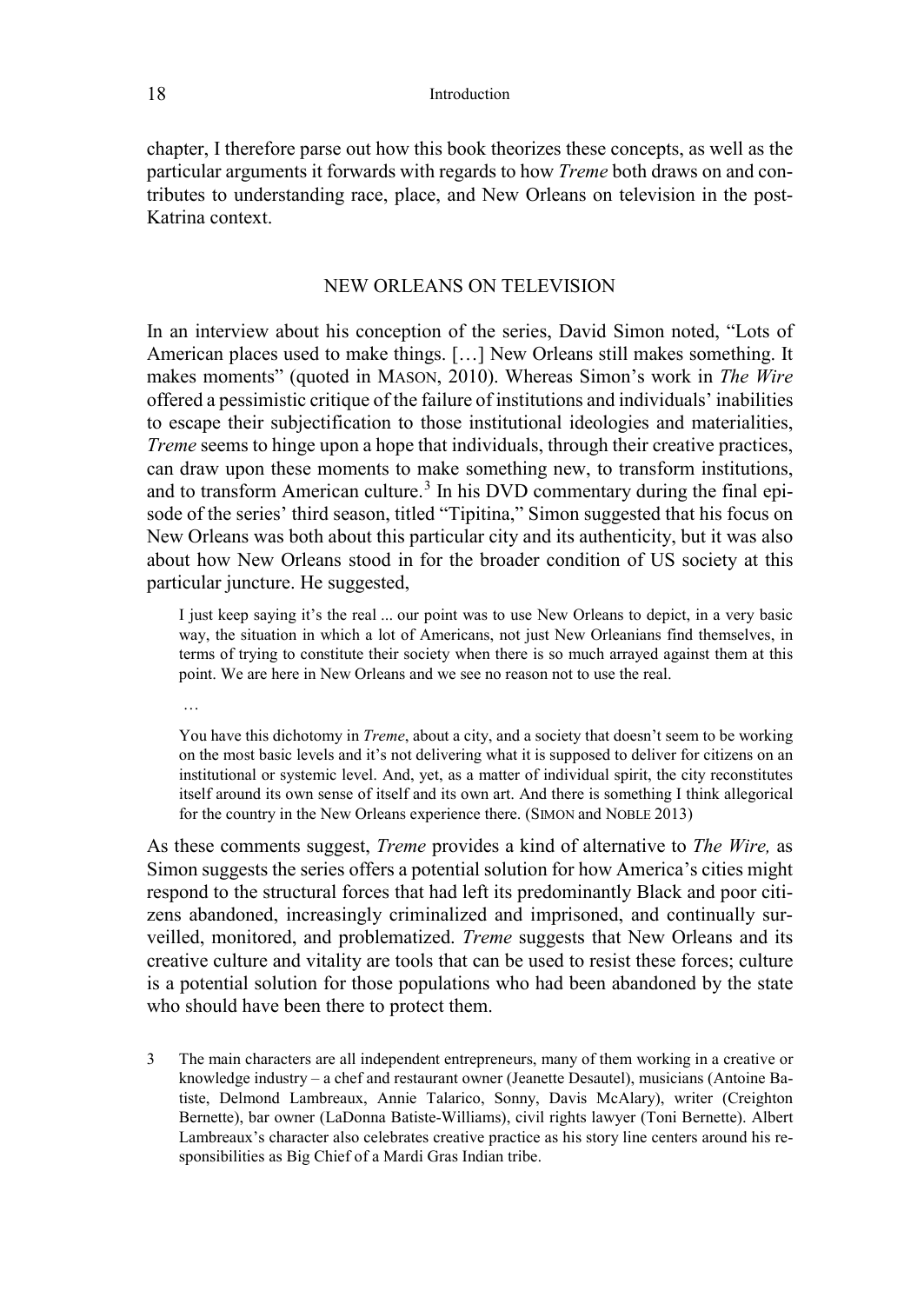chapter, I therefore parse out how this book theorizes these concepts, as well as the particular arguments it forwards with regards to how *Treme* both draws on and contributes to understanding race, place, and New Orleans on television in the post-Katrina context.

## NEW ORLEANS ON TELEVISION

In an interview about his conception of the series, David Simon noted, "Lots of American places used to make things. […] New Orleans still makes something. It makes moments" (quoted in MASON, 2010). Whereas Simon's work in *The Wire*  offered a pessimistic critique of the failure of institutions and individuals' inabilities to escape their subjectification to those institutional ideologies and materialities, *Treme* seems to hinge upon a hope that individuals, through their creative practices, can draw upon these moments to make something new, to transform institutions, and to transform American culture.<sup>3</sup> In his DVD commentary during the final episode of the series' third season, titled "Tipitina," Simon suggested that his focus on New Orleans was both about this particular city and its authenticity, but it was also about how New Orleans stood in for the broader condition of US society at this particular juncture. He suggested,

I just keep saying it's the real ... our point was to use New Orleans to depict, in a very basic way, the situation in which a lot of Americans, not just New Orleanians find themselves, in terms of trying to constitute their society when there is so much arrayed against them at this point. We are here in New Orleans and we see no reason not to use the real.

…

You have this dichotomy in *Treme*, about a city, and a society that doesn't seem to be working on the most basic levels and it's not delivering what it is supposed to deliver for citizens on an institutional or systemic level. And, yet, as a matter of individual spirit, the city reconstitutes itself around its own sense of itself and its own art. And there is something I think allegorical for the country in the New Orleans experience there. (SIMON and NOBLE 2013)

As these comments suggest, *Treme* provides a kind of alternative to *The Wire,* as Simon suggests the series offers a potential solution for how America's cities might respond to the structural forces that had left its predominantly Black and poor citizens abandoned, increasingly criminalized and imprisoned, and continually surveilled, monitored, and problematized. *Treme* suggests that New Orleans and its creative culture and vitality are tools that can be used to resist these forces; culture is a potential solution for those populations who had been abandoned by the state who should have been there to protect them.

3 The main characters are all independent entrepreneurs, many of them working in a creative or knowledge industry – a chef and restaurant owner (Jeanette Desautel), musicians (Antoine Batiste, Delmond Lambreaux, Annie Talarico, Sonny, Davis McAlary), writer (Creighton Bernette), bar owner (LaDonna Batiste-Williams), civil rights lawyer (Toni Bernette). Albert Lambreaux's character also celebrates creative practice as his story line centers around his responsibilities as Big Chief of a Mardi Gras Indian tribe.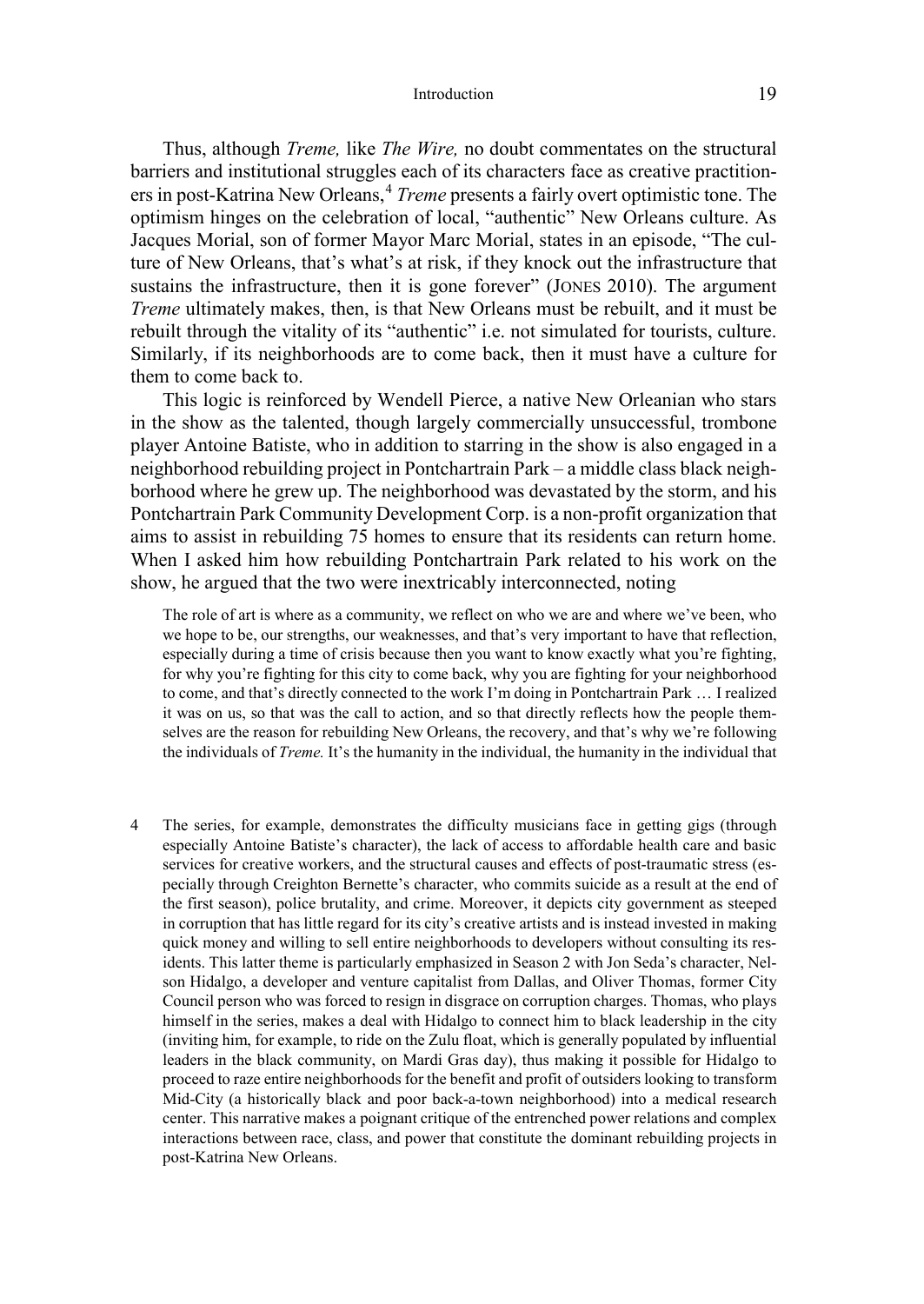Thus, although *Treme,* like *The Wire,* no doubt commentates on the structural barriers and institutional struggles each of its characters face as creative practitioners in post-Katrina New Orleans,<sup>4</sup> *Treme* presents a fairly overt optimistic tone. The optimism hinges on the celebration of local, "authentic" New Orleans culture. As Jacques Morial, son of former Mayor Marc Morial, states in an episode, "The culture of New Orleans, that's what's at risk, if they knock out the infrastructure that sustains the infrastructure, then it is gone forever" (JONES 2010). The argument *Treme* ultimately makes, then, is that New Orleans must be rebuilt, and it must be rebuilt through the vitality of its "authentic" i.e. not simulated for tourists, culture. Similarly, if its neighborhoods are to come back, then it must have a culture for them to come back to.

This logic is reinforced by Wendell Pierce, a native New Orleanian who stars in the show as the talented, though largely commercially unsuccessful, trombone player Antoine Batiste, who in addition to starring in the show is also engaged in a neighborhood rebuilding project in Pontchartrain Park – a middle class black neighborhood where he grew up. The neighborhood was devastated by the storm, and his Pontchartrain Park Community Development Corp. is a non-profit organization that aims to assist in rebuilding 75 homes to ensure that its residents can return home. When I asked him how rebuilding Pontchartrain Park related to his work on the show, he argued that the two were inextricably interconnected, noting

The role of art is where as a community, we reflect on who we are and where we've been, who we hope to be, our strengths, our weaknesses, and that's very important to have that reflection, especially during a time of crisis because then you want to know exactly what you're fighting, for why you're fighting for this city to come back, why you are fighting for your neighborhood to come, and that's directly connected to the work I'm doing in Pontchartrain Park … I realized it was on us, so that was the call to action, and so that directly reflects how the people themselves are the reason for rebuilding New Orleans, the recovery, and that's why we're following the individuals of *Treme.* It's the humanity in the individual, the humanity in the individual that

The series, for example, demonstrates the difficulty musicians face in getting gigs (through especially Antoine Batiste's character), the lack of access to affordable health care and basic services for creative workers, and the structural causes and effects of post-traumatic stress (especially through Creighton Bernette's character, who commits suicide as a result at the end of the first season), police brutality, and crime. Moreover, it depicts city government as steeped in corruption that has little regard for its city's creative artists and is instead invested in making quick money and willing to sell entire neighborhoods to developers without consulting its residents. This latter theme is particularly emphasized in Season 2 with Jon Seda's character, Nelson Hidalgo, a developer and venture capitalist from Dallas, and Oliver Thomas, former City Council person who was forced to resign in disgrace on corruption charges. Thomas, who plays himself in the series, makes a deal with Hidalgo to connect him to black leadership in the city (inviting him, for example, to ride on the Zulu float, which is generally populated by influential leaders in the black community, on Mardi Gras day), thus making it possible for Hidalgo to proceed to raze entire neighborhoods for the benefit and profit of outsiders looking to transform Mid-City (a historically black and poor back-a-town neighborhood) into a medical research center. This narrative makes a poignant critique of the entrenched power relations and complex interactions between race, class, and power that constitute the dominant rebuilding projects in post-Katrina New Orleans.